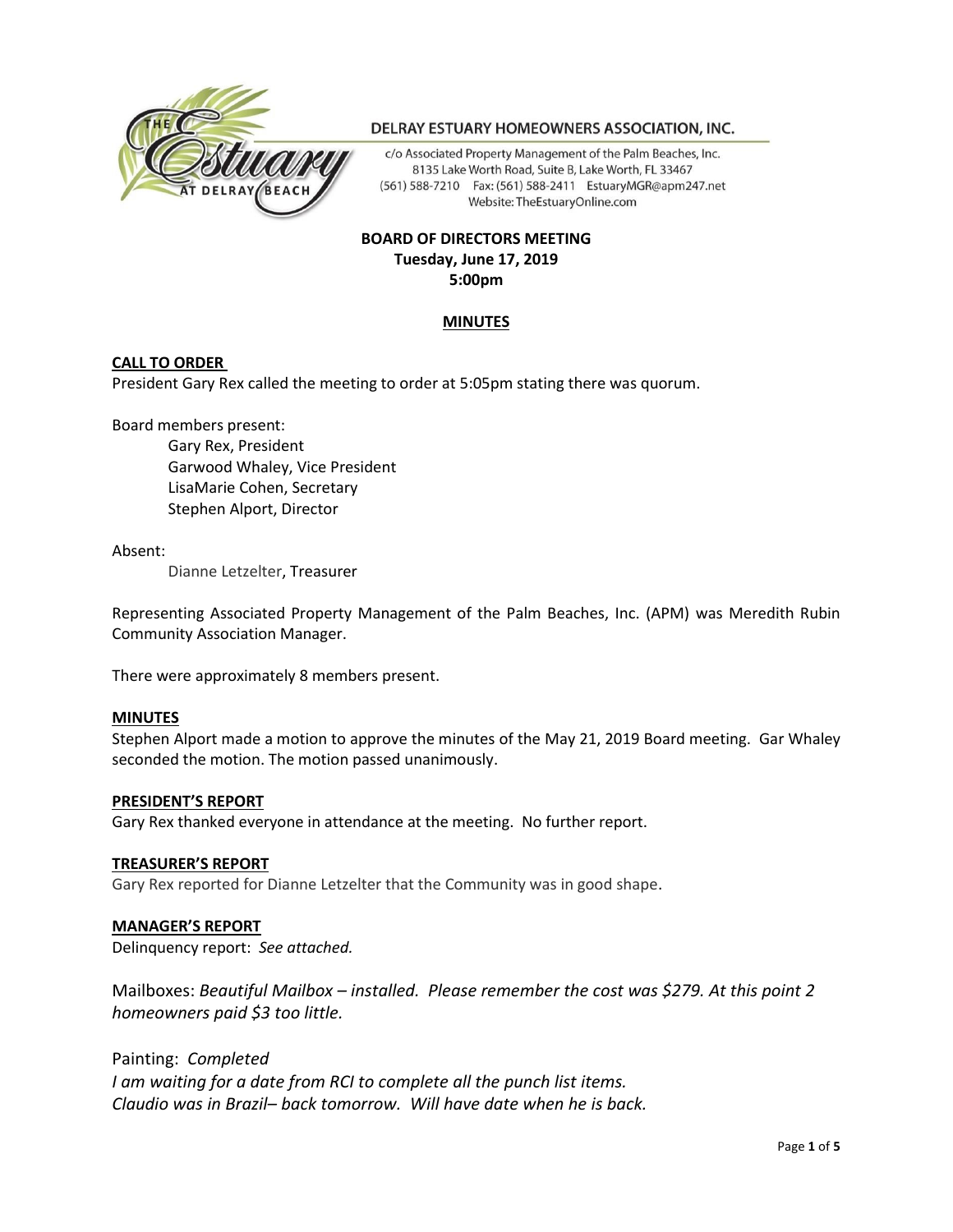

# DELRAY ESTUARY HOMEOWNERS ASSOCIATION, INC.

c/o Associated Property Management of the Palm Beaches, Inc. 8135 Lake Worth Road, Suite B, Lake Worth, FL 33467 (561) 588-7210 Fax: (561) 588-2411 EstuaryMGR@apm247.net Website: TheEstuaryOnline.com

# **BOARD OF DIRECTORS MEETING Tuesday, June 17, 2019 5:00pm**

# **MINUTES**

# **CALL TO ORDER**

President Gary Rex called the meeting to order at 5:05pm stating there was quorum.

Board members present:

Gary Rex, President Garwood Whaley, Vice President LisaMarie Cohen, Secretary Stephen Alport, Director

#### Absent:

Dianne Letzelter, Treasurer

Representing Associated Property Management of the Palm Beaches, Inc. (APM) was Meredith Rubin Community Association Manager.

There were approximately 8 members present.

# **MINUTES**

Stephen Alport made a motion to approve the minutes of the May 21, 2019 Board meeting. Gar Whaley seconded the motion. The motion passed unanimously.

#### **PRESIDENT'S REPORT**

Gary Rex thanked everyone in attendance at the meeting. No further report.

#### **TREASURER'S REPORT**

Gary Rex reported for Dianne Letzelter that the Community was in good shape.

# **MANAGER'S REPORT**

Delinquency report: *See attached.* 

Mailboxes: *Beautiful Mailbox – installed. Please remember the cost was \$279. At this point 2 homeowners paid \$3 too little.*

Painting: *Completed*

*I am waiting for a date from RCI to complete all the punch list items. Claudio was in Brazil– back tomorrow. Will have date when he is back.*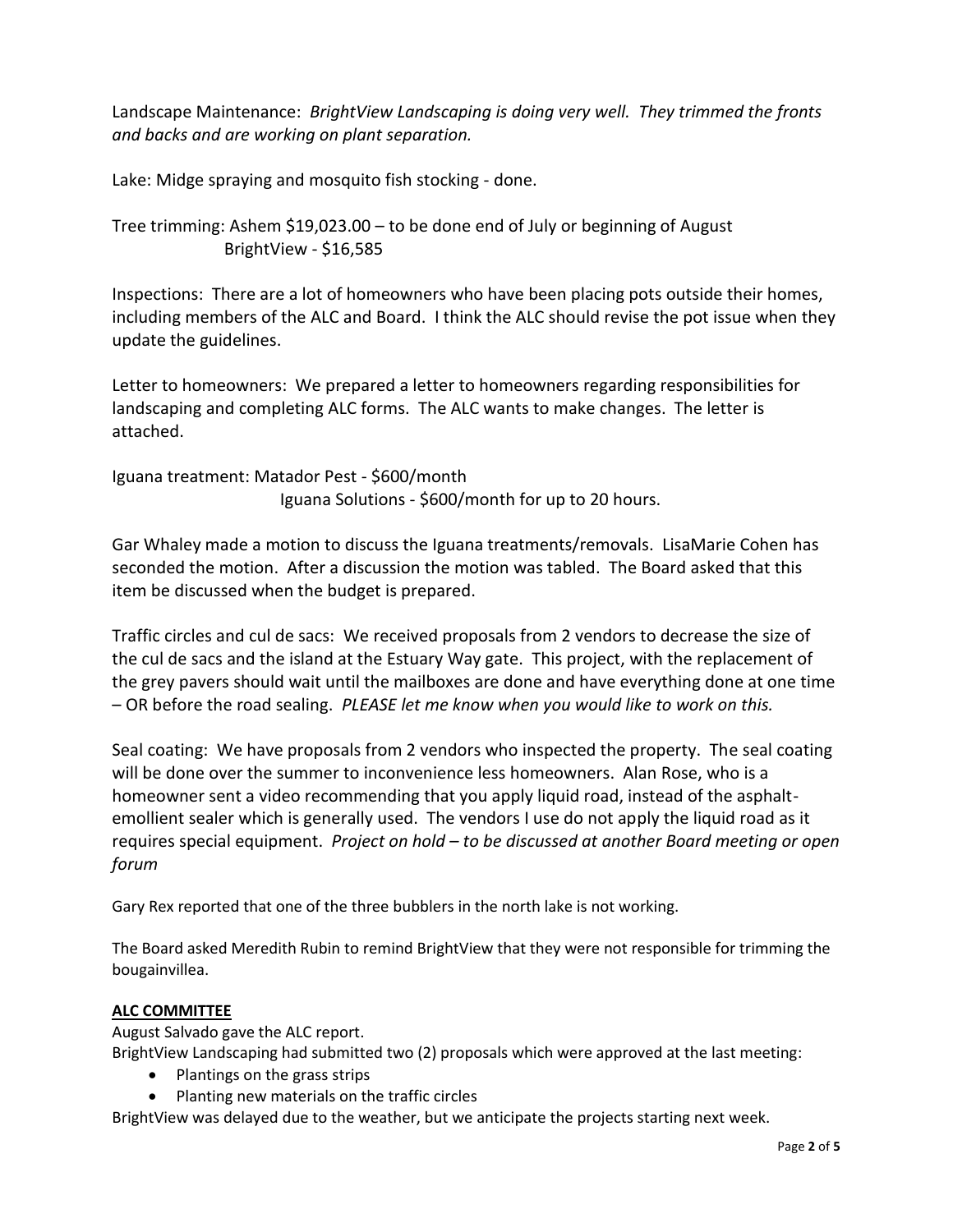Landscape Maintenance: *BrightView Landscaping is doing very well. They trimmed the fronts and backs and are working on plant separation.*

Lake: Midge spraying and mosquito fish stocking - done.

Tree trimming: Ashem \$19,023.00 – to be done end of July or beginning of August BrightView - \$16,585

Inspections: There are a lot of homeowners who have been placing pots outside their homes, including members of the ALC and Board. I think the ALC should revise the pot issue when they update the guidelines.

Letter to homeowners: We prepared a letter to homeowners regarding responsibilities for landscaping and completing ALC forms. The ALC wants to make changes. The letter is attached.

Iguana treatment: Matador Pest - \$600/month Iguana Solutions - \$600/month for up to 20 hours.

Gar Whaley made a motion to discuss the Iguana treatments/removals. LisaMarie Cohen has seconded the motion. After a discussion the motion was tabled. The Board asked that this item be discussed when the budget is prepared.

Traffic circles and cul de sacs: We received proposals from 2 vendors to decrease the size of the cul de sacs and the island at the Estuary Way gate. This project, with the replacement of the grey pavers should wait until the mailboxes are done and have everything done at one time – OR before the road sealing. *PLEASE let me know when you would like to work on this.* 

Seal coating: We have proposals from 2 vendors who inspected the property. The seal coating will be done over the summer to inconvenience less homeowners. Alan Rose, who is a homeowner sent a video recommending that you apply liquid road, instead of the asphaltemollient sealer which is generally used. The vendors I use do not apply the liquid road as it requires special equipment. *Project on hold – to be discussed at another Board meeting or open forum*

Gary Rex reported that one of the three bubblers in the north lake is not working.

The Board asked Meredith Rubin to remind BrightView that they were not responsible for trimming the bougainvillea.

# **ALC COMMITTEE**

August Salvado gave the ALC report.

BrightView Landscaping had submitted two (2) proposals which were approved at the last meeting:

- Plantings on the grass strips
- Planting new materials on the traffic circles

BrightView was delayed due to the weather, but we anticipate the projects starting next week.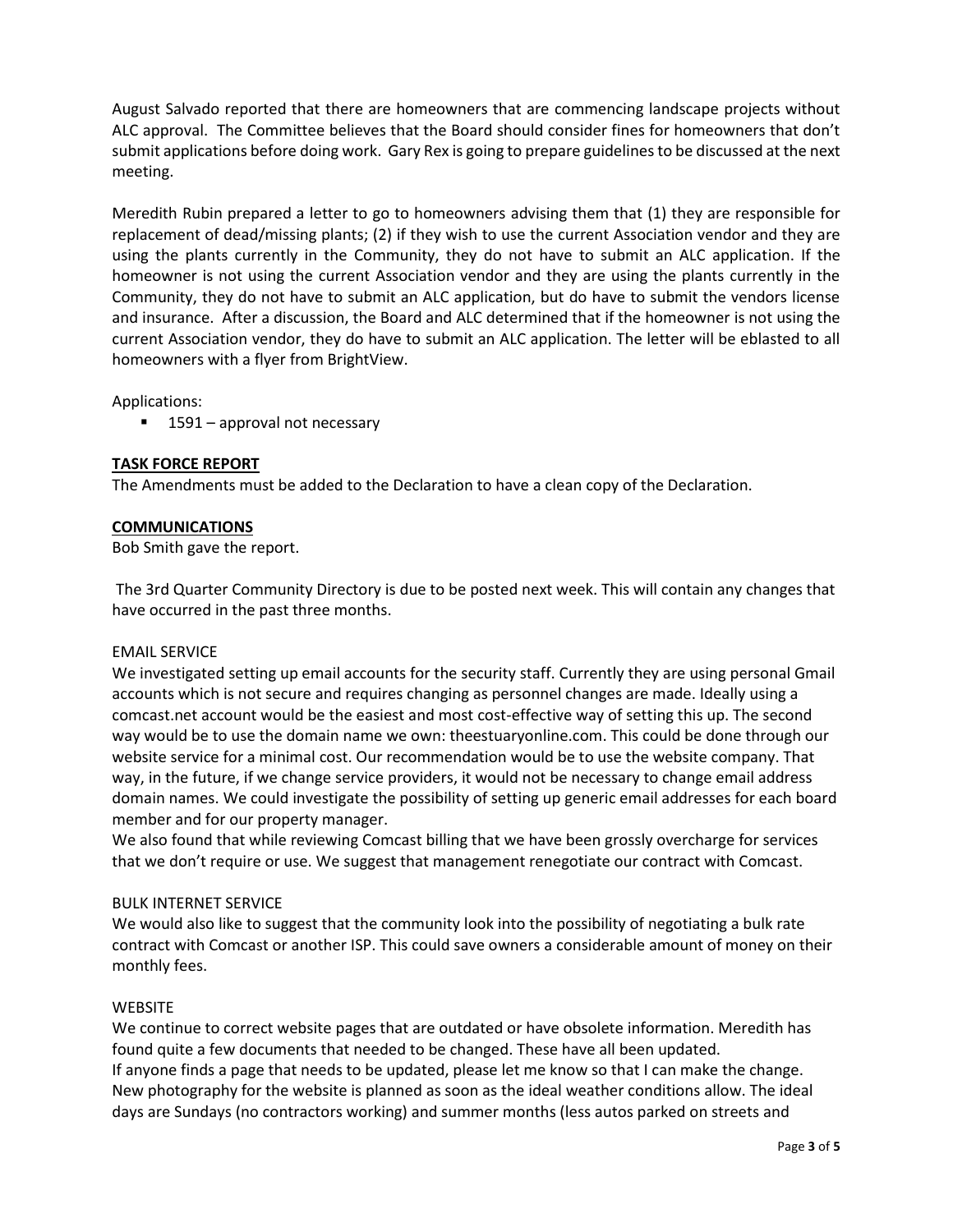August Salvado reported that there are homeowners that are commencing landscape projects without ALC approval. The Committee believes that the Board should consider fines for homeowners that don't submit applications before doing work. Gary Rex is going to prepare guidelines to be discussed at the next meeting.

Meredith Rubin prepared a letter to go to homeowners advising them that (1) they are responsible for replacement of dead/missing plants; (2) if they wish to use the current Association vendor and they are using the plants currently in the Community, they do not have to submit an ALC application. If the homeowner is not using the current Association vendor and they are using the plants currently in the Community, they do not have to submit an ALC application, but do have to submit the vendors license and insurance. After a discussion, the Board and ALC determined that if the homeowner is not using the current Association vendor, they do have to submit an ALC application. The letter will be eblasted to all homeowners with a flyer from BrightView.

Applications:

■ 1591 – approval not necessary

# **TASK FORCE REPORT**

The Amendments must be added to the Declaration to have a clean copy of the Declaration.

# **COMMUNICATIONS**

Bob Smith gave the report.

The 3rd Quarter Community Directory is due to be posted next week. This will contain any changes that have occurred in the past three months.

# EMAIL SERVICE

We investigated setting up email accounts for the security staff. Currently they are using personal Gmail accounts which is not secure and requires changing as personnel changes are made. Ideally using a comcast.net account would be the easiest and most cost-effective way of setting this up. The second way would be to use the domain name we own: theestuaryonline.com. This could be done through our website service for a minimal cost. Our recommendation would be to use the website company. That way, in the future, if we change service providers, it would not be necessary to change email address domain names. We could investigate the possibility of setting up generic email addresses for each board member and for our property manager.

We also found that while reviewing Comcast billing that we have been grossly overcharge for services that we don't require or use. We suggest that management renegotiate our contract with Comcast.

# BULK INTERNET SERVICE

We would also like to suggest that the community look into the possibility of negotiating a bulk rate contract with Comcast or another ISP. This could save owners a considerable amount of money on their monthly fees.

# **WEBSITE**

We continue to correct website pages that are outdated or have obsolete information. Meredith has found quite a few documents that needed to be changed. These have all been updated. If anyone finds a page that needs to be updated, please let me know so that I can make the change. New photography for the website is planned as soon as the ideal weather conditions allow. The ideal days are Sundays (no contractors working) and summer months (less autos parked on streets and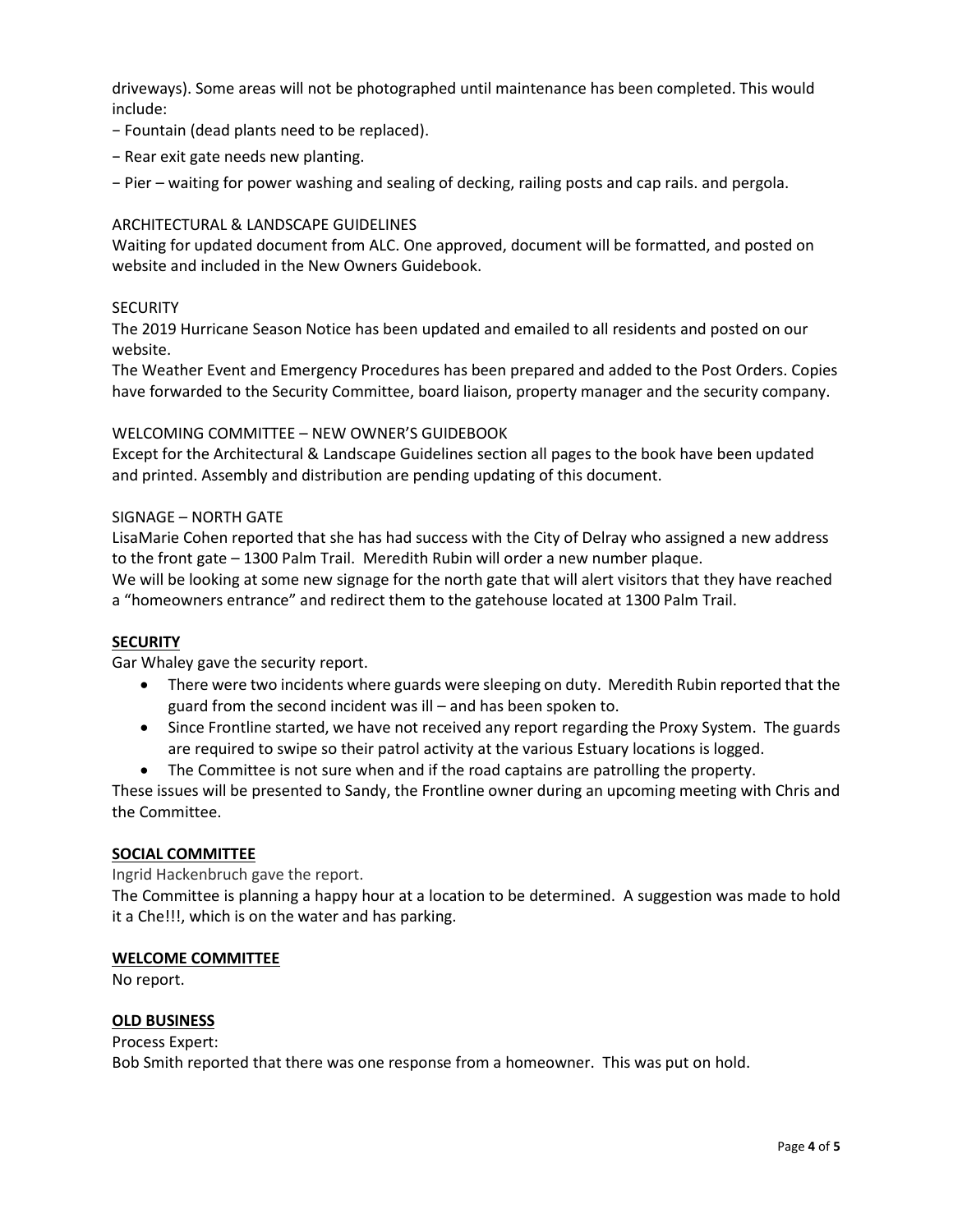driveways). Some areas will not be photographed until maintenance has been completed. This would include:

- − Fountain (dead plants need to be replaced).
- − Rear exit gate needs new planting.
- − Pier waiting for power washing and sealing of decking, railing posts and cap rails. and pergola.

# ARCHITECTURAL & LANDSCAPE GUIDELINES

Waiting for updated document from ALC. One approved, document will be formatted, and posted on website and included in the New Owners Guidebook.

# **SECURITY**

The 2019 Hurricane Season Notice has been updated and emailed to all residents and posted on our website.

The Weather Event and Emergency Procedures has been prepared and added to the Post Orders. Copies have forwarded to the Security Committee, board liaison, property manager and the security company.

# WELCOMING COMMITTEE – NEW OWNER'S GUIDEBOOK

Except for the Architectural & Landscape Guidelines section all pages to the book have been updated and printed. Assembly and distribution are pending updating of this document.

# SIGNAGE – NORTH GATE

LisaMarie Cohen reported that she has had success with the City of Delray who assigned a new address to the front gate – 1300 Palm Trail. Meredith Rubin will order a new number plaque. We will be looking at some new signage for the north gate that will alert visitors that they have reached a "homeowners entrance" and redirect them to the gatehouse located at 1300 Palm Trail.

# **SECURITY**

Gar Whaley gave the security report.

- There were two incidents where guards were sleeping on duty. Meredith Rubin reported that the guard from the second incident was ill – and has been spoken to.
- Since Frontline started, we have not received any report regarding the Proxy System. The guards are required to swipe so their patrol activity at the various Estuary locations is logged.
- The Committee is not sure when and if the road captains are patrolling the property.

These issues will be presented to Sandy, the Frontline owner during an upcoming meeting with Chris and the Committee.

# **SOCIAL COMMITTEE**

Ingrid Hackenbruch gave the report.

The Committee is planning a happy hour at a location to be determined. A suggestion was made to hold it a Che!!!, which is on the water and has parking.

# **WELCOME COMMITTEE**

No report.

# **OLD BUSINESS**

#### Process Expert:

Bob Smith reported that there was one response from a homeowner. This was put on hold.